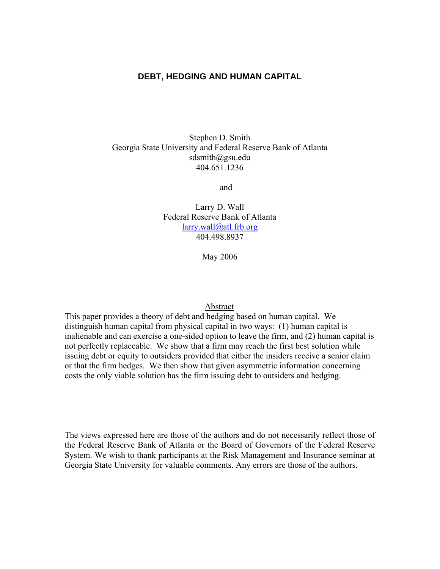# **DEBT, HEDGING AND HUMAN CAPITAL**

# Stephen D. Smith Georgia State University and Federal Reserve Bank of Atlanta sdsmith@gsu.edu 404.651.1236

and

Larry D. Wall Federal Reserve Bank of Atlanta [larry.wall@atl.frb.org](mailto:larry.wall@atl.frb.org) 404.498.8937

May 2006

#### Abstract

This paper provides a theory of debt and hedging based on human capital. We distinguish human capital from physical capital in two ways: (1) human capital is inalienable and can exercise a one-sided option to leave the firm, and (2) human capital is not perfectly replaceable. We show that a firm may reach the first best solution while issuing debt or equity to outsiders provided that either the insiders receive a senior claim or that the firm hedges. We then show that given asymmetric information concerning costs the only viable solution has the firm issuing debt to outsiders and hedging.

The views expressed here are those of the authors and do not necessarily reflect those of the Federal Reserve Bank of Atlanta or the Board of Governors of the Federal Reserve System. We wish to thank participants at the Risk Management and Insurance seminar at Georgia State University for valuable comments. Any errors are those of the authors.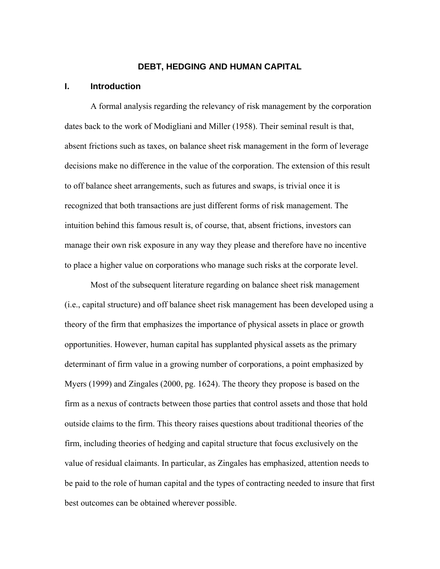## **DEBT, HEDGING AND HUMAN CAPITAL**

## **I. Introduction**

A formal analysis regarding the relevancy of risk management by the corporation dates back to the work of Modigliani and Miller (1958). Their seminal result is that, absent frictions such as taxes, on balance sheet risk management in the form of leverage decisions make no difference in the value of the corporation. The extension of this result to off balance sheet arrangements, such as futures and swaps, is trivial once it is recognized that both transactions are just different forms of risk management. The intuition behind this famous result is, of course, that, absent frictions, investors can manage their own risk exposure in any way they please and therefore have no incentive to place a higher value on corporations who manage such risks at the corporate level.

Most of the subsequent literature regarding on balance sheet risk management (i.e., capital structure) and off balance sheet risk management has been developed using a theory of the firm that emphasizes the importance of physical assets in place or growth opportunities. However, human capital has supplanted physical assets as the primary determinant of firm value in a growing number of corporations, a point emphasized by Myers (1999) and Zingales (2000, pg. 1624). The theory they propose is based on the firm as a nexus of contracts between those parties that control assets and those that hold outside claims to the firm. This theory raises questions about traditional theories of the firm, including theories of hedging and capital structure that focus exclusively on the value of residual claimants. In particular, as Zingales has emphasized, attention needs to be paid to the role of human capital and the types of contracting needed to insure that first best outcomes can be obtained wherever possible.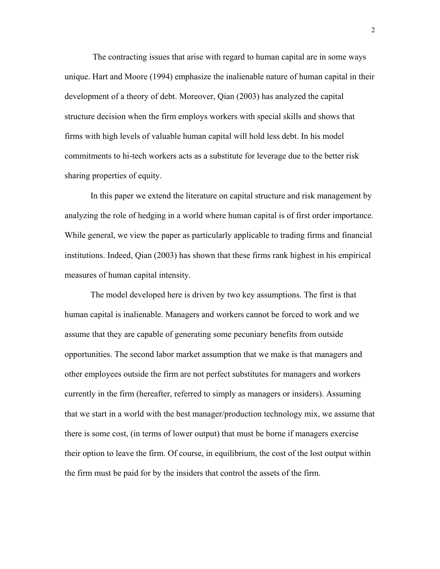The contracting issues that arise with regard to human capital are in some ways unique. Hart and Moore (1994) emphasize the inalienable nature of human capital in their development of a theory of debt. Moreover, Qian (2003) has analyzed the capital structure decision when the firm employs workers with special skills and shows that firms with high levels of valuable human capital will hold less debt. In his model commitments to hi-tech workers acts as a substitute for leverage due to the better risk sharing properties of equity.

In this paper we extend the literature on capital structure and risk management by analyzing the role of hedging in a world where human capital is of first order importance. While general, we view the paper as particularly applicable to trading firms and financial institutions. Indeed, Qian (2003) has shown that these firms rank highest in his empirical measures of human capital intensity.

The model developed here is driven by two key assumptions. The first is that human capital is inalienable. Managers and workers cannot be forced to work and we assume that they are capable of generating some pecuniary benefits from outside opportunities. The second labor market assumption that we make is that managers and other employees outside the firm are not perfect substitutes for managers and workers currently in the firm (hereafter, referred to simply as managers or insiders). Assuming that we start in a world with the best manager/production technology mix, we assume that there is some cost, (in terms of lower output) that must be borne if managers exercise their option to leave the firm. Of course, in equilibrium, the cost of the lost output within the firm must be paid for by the insiders that control the assets of the firm.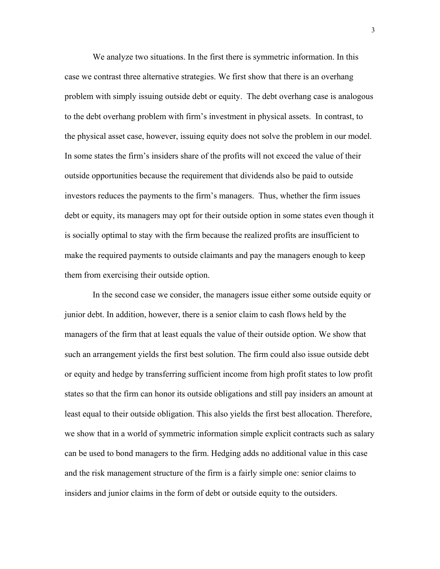We analyze two situations. In the first there is symmetric information. In this case we contrast three alternative strategies. We first show that there is an overhang problem with simply issuing outside debt or equity. The debt overhang case is analogous to the debt overhang problem with firm's investment in physical assets. In contrast, to the physical asset case, however, issuing equity does not solve the problem in our model. In some states the firm's insiders share of the profits will not exceed the value of their outside opportunities because the requirement that dividends also be paid to outside investors reduces the payments to the firm's managers. Thus, whether the firm issues debt or equity, its managers may opt for their outside option in some states even though it is socially optimal to stay with the firm because the realized profits are insufficient to make the required payments to outside claimants and pay the managers enough to keep them from exercising their outside option.

 In the second case we consider, the managers issue either some outside equity or junior debt. In addition, however, there is a senior claim to cash flows held by the managers of the firm that at least equals the value of their outside option. We show that such an arrangement yields the first best solution. The firm could also issue outside debt or equity and hedge by transferring sufficient income from high profit states to low profit states so that the firm can honor its outside obligations and still pay insiders an amount at least equal to their outside obligation. This also yields the first best allocation. Therefore, we show that in a world of symmetric information simple explicit contracts such as salary can be used to bond managers to the firm. Hedging adds no additional value in this case and the risk management structure of the firm is a fairly simple one: senior claims to insiders and junior claims in the form of debt or outside equity to the outsiders.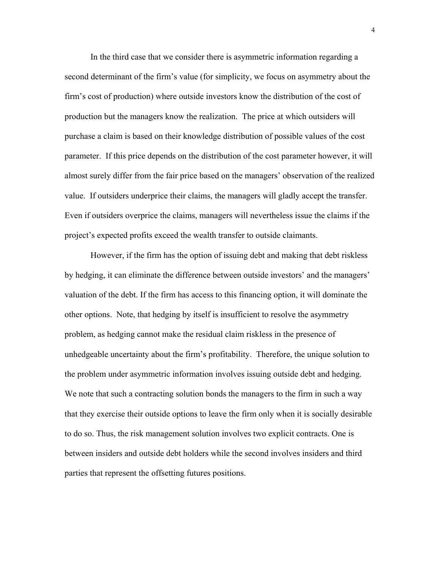In the third case that we consider there is asymmetric information regarding a second determinant of the firm's value (for simplicity, we focus on asymmetry about the firm's cost of production) where outside investors know the distribution of the cost of production but the managers know the realization. The price at which outsiders will purchase a claim is based on their knowledge distribution of possible values of the cost parameter. If this price depends on the distribution of the cost parameter however, it will almost surely differ from the fair price based on the managers' observation of the realized value. If outsiders underprice their claims, the managers will gladly accept the transfer. Even if outsiders overprice the claims, managers will nevertheless issue the claims if the project's expected profits exceed the wealth transfer to outside claimants.

However, if the firm has the option of issuing debt and making that debt riskless by hedging, it can eliminate the difference between outside investors' and the managers' valuation of the debt. If the firm has access to this financing option, it will dominate the other options. Note, that hedging by itself is insufficient to resolve the asymmetry problem, as hedging cannot make the residual claim riskless in the presence of unhedgeable uncertainty about the firm's profitability. Therefore, the unique solution to the problem under asymmetric information involves issuing outside debt and hedging. We note that such a contracting solution bonds the managers to the firm in such a way that they exercise their outside options to leave the firm only when it is socially desirable to do so. Thus, the risk management solution involves two explicit contracts. One is between insiders and outside debt holders while the second involves insiders and third parties that represent the offsetting futures positions.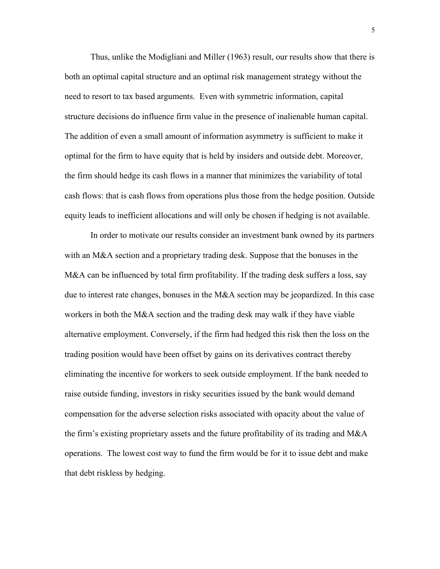Thus, unlike the Modigliani and Miller (1963) result, our results show that there is both an optimal capital structure and an optimal risk management strategy without the need to resort to tax based arguments. Even with symmetric information, capital structure decisions do influence firm value in the presence of inalienable human capital. The addition of even a small amount of information asymmetry is sufficient to make it optimal for the firm to have equity that is held by insiders and outside debt. Moreover, the firm should hedge its cash flows in a manner that minimizes the variability of total cash flows: that is cash flows from operations plus those from the hedge position. Outside equity leads to inefficient allocations and will only be chosen if hedging is not available.

In order to motivate our results consider an investment bank owned by its partners with an M&A section and a proprietary trading desk. Suppose that the bonuses in the M&A can be influenced by total firm profitability. If the trading desk suffers a loss, say due to interest rate changes, bonuses in the M&A section may be jeopardized. In this case workers in both the M&A section and the trading desk may walk if they have viable alternative employment. Conversely, if the firm had hedged this risk then the loss on the trading position would have been offset by gains on its derivatives contract thereby eliminating the incentive for workers to seek outside employment. If the bank needed to raise outside funding, investors in risky securities issued by the bank would demand compensation for the adverse selection risks associated with opacity about the value of the firm's existing proprietary assets and the future profitability of its trading and M&A operations. The lowest cost way to fund the firm would be for it to issue debt and make that debt riskless by hedging.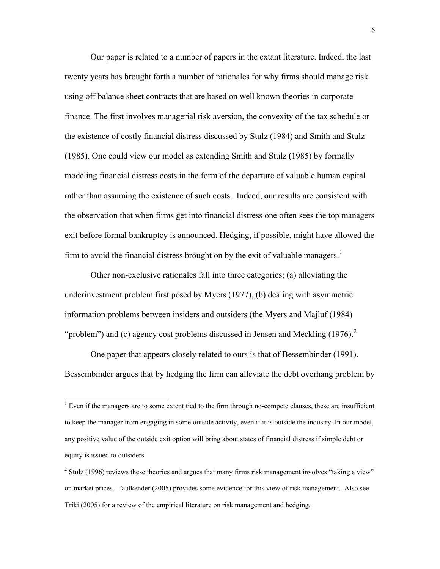Our paper is related to a number of papers in the extant literature. Indeed, the last twenty years has brought forth a number of rationales for why firms should manage risk using off balance sheet contracts that are based on well known theories in corporate finance. The first involves managerial risk aversion, the convexity of the tax schedule or the existence of costly financial distress discussed by Stulz (1984) and Smith and Stulz (1985). One could view our model as extending Smith and Stulz (1985) by formally modeling financial distress costs in the form of the departure of valuable human capital rather than assuming the existence of such costs. Indeed, our results are consistent with the observation that when firms get into financial distress one often sees the top managers exit before formal bankruptcy is announced. Hedging, if possible, might have allowed the firm to avoid the financial distress brought on by the exit of valuable managers.<sup>[1](#page-6-0)</sup>

Other non-exclusive rationales fall into three categories; (a) alleviating the underinvestment problem first posed by Myers (1977), (b) dealing with asymmetric information problems between insiders and outsiders (the Myers and Majluf (1984) "problem") and (c) agency cost problems discussed in Jensen and Meckling  $(1976)^2$  $(1976)^2$ 

One paper that appears closely related to ours is that of Bessembinder (1991). Bessembinder argues that by hedging the firm can alleviate the debt overhang problem by

 $\overline{\phantom{a}}$ 

<span id="page-6-0"></span> $1$  Even if the managers are to some extent tied to the firm through no-compete clauses, these are insufficient to keep the manager from engaging in some outside activity, even if it is outside the industry. In our model, any positive value of the outside exit option will bring about states of financial distress if simple debt or equity is issued to outsiders.

<span id="page-6-1"></span><sup>&</sup>lt;sup>2</sup> Stulz (1996) reviews these theories and argues that many firms risk management involves "taking a view" on market prices. Faulkender (2005) provides some evidence for this view of risk management. Also see Triki (2005) for a review of the empirical literature on risk management and hedging.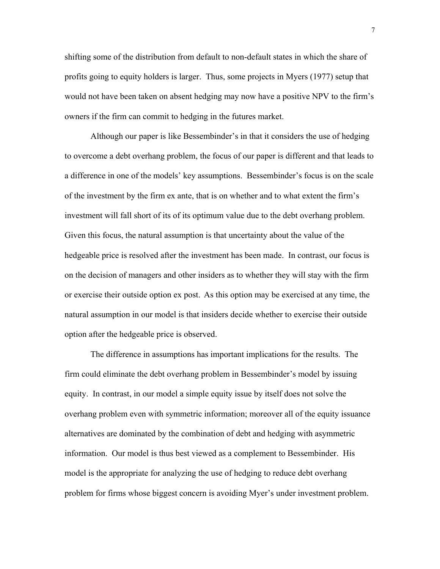shifting some of the distribution from default to non-default states in which the share of profits going to equity holders is larger. Thus, some projects in Myers (1977) setup that would not have been taken on absent hedging may now have a positive NPV to the firm's owners if the firm can commit to hedging in the futures market.

Although our paper is like Bessembinder's in that it considers the use of hedging to overcome a debt overhang problem, the focus of our paper is different and that leads to a difference in one of the models' key assumptions. Bessembinder's focus is on the scale of the investment by the firm ex ante, that is on whether and to what extent the firm's investment will fall short of its of its optimum value due to the debt overhang problem. Given this focus, the natural assumption is that uncertainty about the value of the hedgeable price is resolved after the investment has been made. In contrast, our focus is on the decision of managers and other insiders as to whether they will stay with the firm or exercise their outside option ex post. As this option may be exercised at any time, the natural assumption in our model is that insiders decide whether to exercise their outside option after the hedgeable price is observed.

The difference in assumptions has important implications for the results. The firm could eliminate the debt overhang problem in Bessembinder's model by issuing equity. In contrast, in our model a simple equity issue by itself does not solve the overhang problem even with symmetric information; moreover all of the equity issuance alternatives are dominated by the combination of debt and hedging with asymmetric information. Our model is thus best viewed as a complement to Bessembinder. His model is the appropriate for analyzing the use of hedging to reduce debt overhang problem for firms whose biggest concern is avoiding Myer's under investment problem.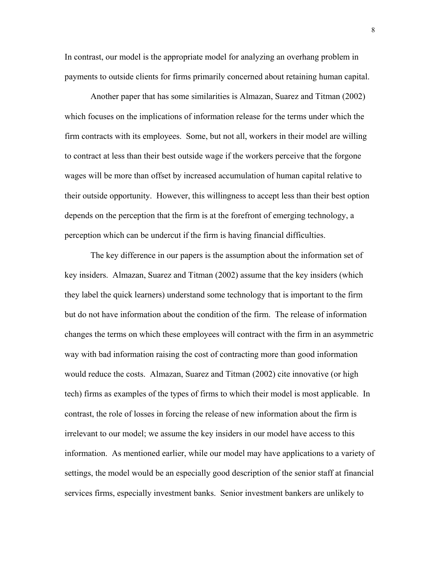In contrast, our model is the appropriate model for analyzing an overhang problem in payments to outside clients for firms primarily concerned about retaining human capital.

Another paper that has some similarities is Almazan, Suarez and Titman (2002) which focuses on the implications of information release for the terms under which the firm contracts with its employees. Some, but not all, workers in their model are willing to contract at less than their best outside wage if the workers perceive that the forgone wages will be more than offset by increased accumulation of human capital relative to their outside opportunity. However, this willingness to accept less than their best option depends on the perception that the firm is at the forefront of emerging technology, a perception which can be undercut if the firm is having financial difficulties.

The key difference in our papers is the assumption about the information set of key insiders. Almazan, Suarez and Titman (2002) assume that the key insiders (which they label the quick learners) understand some technology that is important to the firm but do not have information about the condition of the firm. The release of information changes the terms on which these employees will contract with the firm in an asymmetric way with bad information raising the cost of contracting more than good information would reduce the costs. Almazan, Suarez and Titman (2002) cite innovative (or high tech) firms as examples of the types of firms to which their model is most applicable. In contrast, the role of losses in forcing the release of new information about the firm is irrelevant to our model; we assume the key insiders in our model have access to this information. As mentioned earlier, while our model may have applications to a variety of settings, the model would be an especially good description of the senior staff at financial services firms, especially investment banks. Senior investment bankers are unlikely to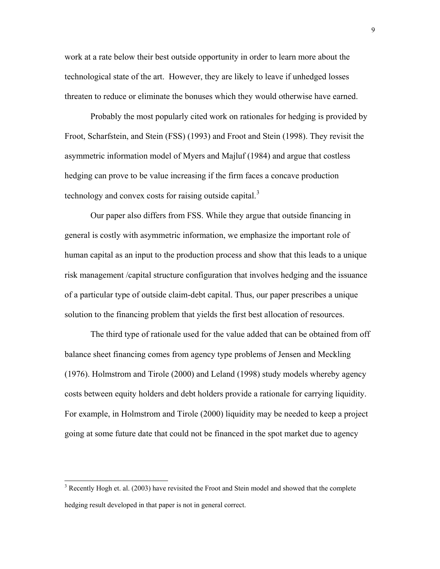work at a rate below their best outside opportunity in order to learn more about the technological state of the art. However, they are likely to leave if unhedged losses threaten to reduce or eliminate the bonuses which they would otherwise have earned.

Probably the most popularly cited work on rationales for hedging is provided by Froot, Scharfstein, and Stein (FSS) (1993) and Froot and Stein (1998). They revisit the asymmetric information model of Myers and Majluf (1984) and argue that costless hedging can prove to be value increasing if the firm faces a concave production technology and convex costs for raising outside capital.<sup>[3](#page-9-0)</sup>

Our paper also differs from FSS. While they argue that outside financing in general is costly with asymmetric information, we emphasize the important role of human capital as an input to the production process and show that this leads to a unique risk management /capital structure configuration that involves hedging and the issuance of a particular type of outside claim-debt capital. Thus, our paper prescribes a unique solution to the financing problem that yields the first best allocation of resources.

The third type of rationale used for the value added that can be obtained from off balance sheet financing comes from agency type problems of Jensen and Meckling (1976). Holmstrom and Tirole (2000) and Leland (1998) study models whereby agency costs between equity holders and debt holders provide a rationale for carrying liquidity. For example, in Holmstrom and Tirole (2000) liquidity may be needed to keep a project going at some future date that could not be financed in the spot market due to agency

<span id="page-9-0"></span><sup>&</sup>lt;sup>3</sup> Recently Hogh et. al. (2003) have revisited the Froot and Stein model and showed that the complete hedging result developed in that paper is not in general correct.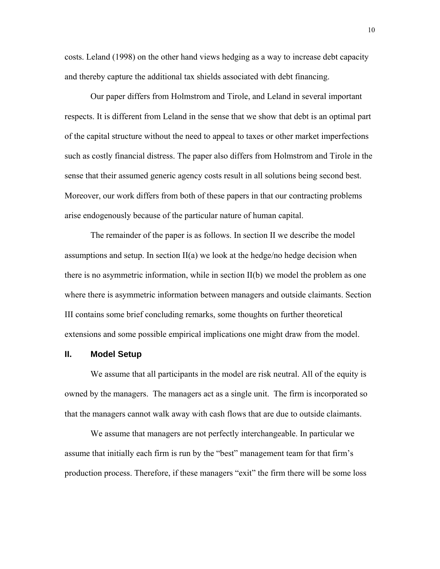costs. Leland (1998) on the other hand views hedging as a way to increase debt capacity and thereby capture the additional tax shields associated with debt financing.

Our paper differs from Holmstrom and Tirole, and Leland in several important respects. It is different from Leland in the sense that we show that debt is an optimal part of the capital structure without the need to appeal to taxes or other market imperfections such as costly financial distress. The paper also differs from Holmstrom and Tirole in the sense that their assumed generic agency costs result in all solutions being second best. Moreover, our work differs from both of these papers in that our contracting problems arise endogenously because of the particular nature of human capital.

The remainder of the paper is as follows. In section II we describe the model assumptions and setup. In section  $II(a)$  we look at the hedge/no hedge decision when there is no asymmetric information, while in section II(b) we model the problem as one where there is asymmetric information between managers and outside claimants. Section III contains some brief concluding remarks, some thoughts on further theoretical extensions and some possible empirical implications one might draw from the model.

## **II. Model Setup**

We assume that all participants in the model are risk neutral. All of the equity is owned by the managers. The managers act as a single unit. The firm is incorporated so that the managers cannot walk away with cash flows that are due to outside claimants.

We assume that managers are not perfectly interchangeable. In particular we assume that initially each firm is run by the "best" management team for that firm's production process. Therefore, if these managers "exit" the firm there will be some loss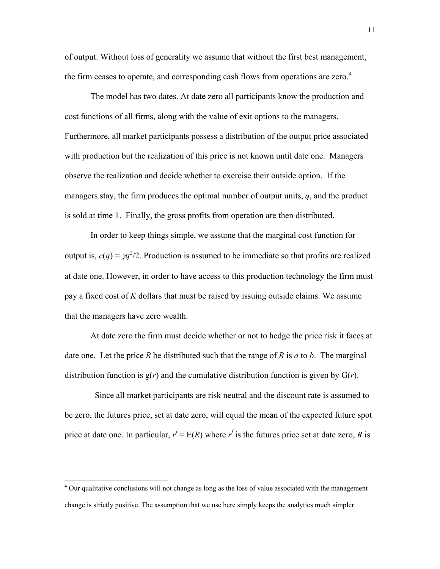of output. Without loss of generality we assume that without the first best management, the firm ceases to operate, and corresponding cash flows from operations are zero.<sup>[4](#page-11-0)</sup>

The model has two dates. At date zero all participants know the production and cost functions of all firms, along with the value of exit options to the managers. Furthermore, all market participants possess a distribution of the output price associated with production but the realization of this price is not known until date one. Managers observe the realization and decide whether to exercise their outside option. If the managers stay, the firm produces the optimal number of output units, *q*, and the product is sold at time 1. Finally, the gross profits from operation are then distributed.

In order to keep things simple, we assume that the marginal cost function for output is,  $c(q) = \frac{\gamma q^2}{2}$ . Production is assumed to be immediate so that profits are realized at date one. However, in order to have access to this production technology the firm must pay a fixed cost of *K* dollars that must be raised by issuing outside claims. We assume that the managers have zero wealth.

At date zero the firm must decide whether or not to hedge the price risk it faces at date one. Let the price *R* be distributed such that the range of *R* is *a* to *b*. The marginal distribution function is g(*r*) and the cumulative distribution function is given by G(*r*).

 Since all market participants are risk neutral and the discount rate is assumed to be zero, the futures price, set at date zero, will equal the mean of the expected future spot price at date one. In particular,  $r^f = E(R)$  where  $r^f$  is the futures price set at date zero, R is

<span id="page-11-0"></span><sup>&</sup>lt;sup>4</sup> Our qualitative conclusions will not change as long as the loss of value associated with the management change is strictly positive. The assumption that we use here simply keeps the analytics much simpler.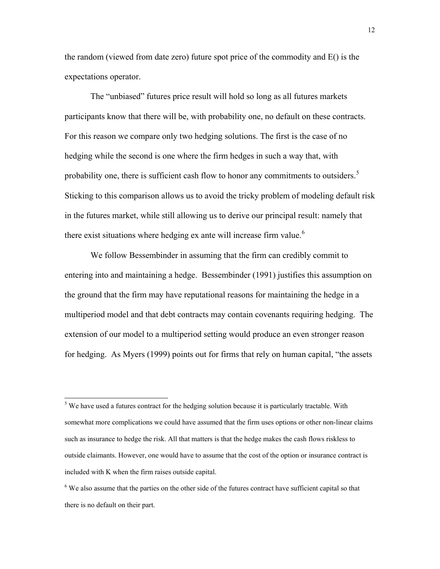the random (viewed from date zero) future spot price of the commodity and E() is the expectations operator.

The "unbiased" futures price result will hold so long as all futures markets participants know that there will be, with probability one, no default on these contracts. For this reason we compare only two hedging solutions. The first is the case of no hedging while the second is one where the firm hedges in such a way that, with probability one, there is sufficient cash flow to honor any commitments to outsiders.<sup>[5](#page-12-0)</sup> Sticking to this comparison allows us to avoid the tricky problem of modeling default risk in the futures market, while still allowing us to derive our principal result: namely that there exist situations where hedging ex ante will increase firm value.<sup>[6](#page-12-1)</sup>

We follow Bessembinder in assuming that the firm can credibly commit to entering into and maintaining a hedge. Bessembinder (1991) justifies this assumption on the ground that the firm may have reputational reasons for maintaining the hedge in a multiperiod model and that debt contracts may contain covenants requiring hedging. The extension of our model to a multiperiod setting would produce an even stronger reason for hedging. As Myers (1999) points out for firms that rely on human capital, "the assets

 $\overline{\phantom{a}}$ 

<span id="page-12-0"></span> $<sup>5</sup>$  We have used a futures contract for the hedging solution because it is particularly tractable. With</sup> somewhat more complications we could have assumed that the firm uses options or other non-linear claims such as insurance to hedge the risk. All that matters is that the hedge makes the cash flows riskless to outside claimants. However, one would have to assume that the cost of the option or insurance contract is included with K when the firm raises outside capital.

<span id="page-12-1"></span><sup>&</sup>lt;sup>6</sup> We also assume that the parties on the other side of the futures contract have sufficient capital so that there is no default on their part.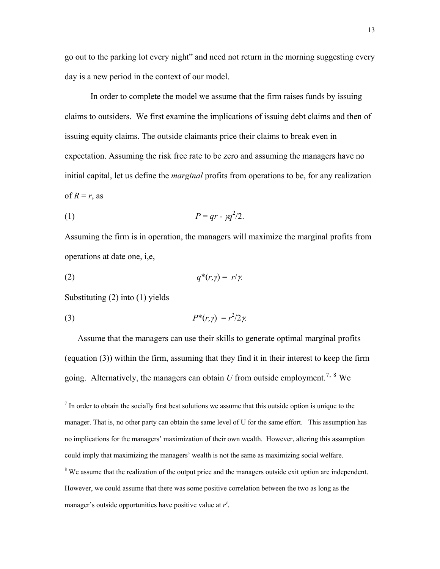go out to the parking lot every night" and need not return in the morning suggesting every day is a new period in the context of our model.

In order to complete the model we assume that the firm raises funds by issuing claims to outsiders. We first examine the implications of issuing debt claims and then of issuing equity claims. The outside claimants price their claims to break even in expectation. Assuming the risk free rate to be zero and assuming the managers have no initial capital, let us define the *marginal* profits from operations to be, for any realization of  $R = r$ , as

$$
(1) \t\t\t P = qr - \gamma q^2/2.
$$

Assuming the firm is in operation, the managers will maximize the marginal profits from operations at date one, i,e,

$$
(2) \t\t q^*(r,\gamma) = r/\gamma.
$$

Substituting (2) into (1) yields

 $\overline{\phantom{a}}$ 

$$
(3) \tP^*(r,\gamma) = r^2/2\gamma.
$$

Assume that the managers can use their skills to generate optimal marginal profits (equation (3)) within the firm, assuming that they find it in their interest to keep the firm going. Alternatively, the managers can obtain  $U$  from outside employment.<sup>[7](#page-13-0), [8](#page-13-1)</sup> We

<span id="page-13-0"></span> $<sup>7</sup>$  In order to obtain the socially first best solutions we assume that this outside option is unique to the</sup> manager. That is, no other party can obtain the same level of U for the same effort. This assumption has no implications for the managers' maximization of their own wealth. However, altering this assumption could imply that maximizing the managers' wealth is not the same as maximizing social welfare.

<span id="page-13-1"></span><sup>&</sup>lt;sup>8</sup> We assume that the realization of the output price and the managers outside exit option are independent. However, we could assume that there was some positive correlation between the two as long as the manager's outside opportunities have positive value at  $r^c$ .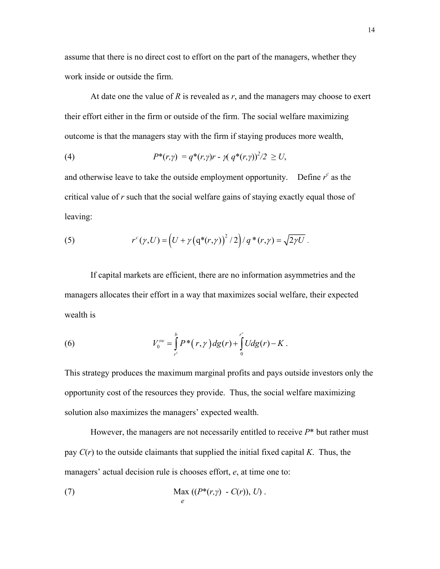assume that there is no direct cost to effort on the part of the managers, whether they work inside or outside the firm.

 At date one the value of *R* is revealed as *r*, and the managers may choose to exert their effort either in the firm or outside of the firm. The social welfare maximizing outcome is that the managers stay with the firm if staying produces more wealth,

(4) 
$$
P^*(r,\gamma) = q^*(r,\gamma)r - \gamma (q^*(r,\gamma))^2/2 \ge U,
$$

and otherwise leave to take the outside employment opportunity. Define  $r^c$  as the critical value of *r* such that the social welfare gains of staying exactly equal those of leaving:

<span id="page-14-1"></span>(5) 
$$
r^{c}(\gamma, U) = (U + \gamma (q^{*}(r, \gamma))^{2} / 2) / q^{*}(r, \gamma) = \sqrt{2 \gamma U}.
$$

 If capital markets are efficient, there are no information asymmetries and the managers allocates their effort in a way that maximizes social welfare, their expected wealth is

<span id="page-14-0"></span>(6) 
$$
V_0^{sw} = \int_{r^c}^{b} P^*(r, \gamma) dg(r) + \int_{0}^{r^c} U dg(r) - K.
$$

This strategy produces the maximum marginal profits and pays outside investors only the opportunity cost of the resources they provide. Thus, the social welfare maximizing solution also maximizes the managers' expected wealth.

However, the managers are not necessarily entitled to receive  $P^*$  but rather must pay *C*(*r*) to the outside claimants that supplied the initial fixed capital *K*. Thus, the managers' actual decision rule is chooses effort, *e*, at time one to:

(7) 
$$
\operatorname{Max}_{e} ((P^*(r, \gamma) - C(r)), U).
$$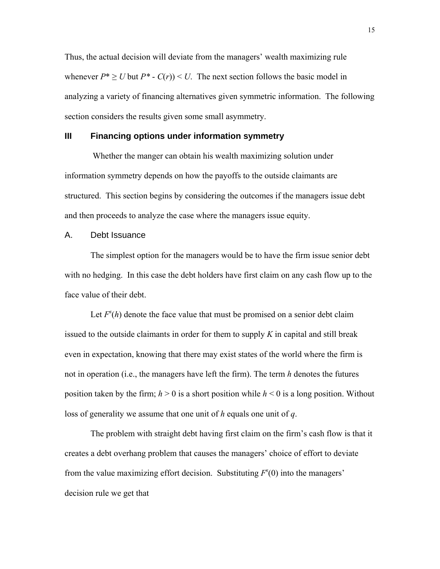Thus, the actual decision will deviate from the managers' wealth maximizing rule whenever  $P^* \ge U$  but  $P^*$  -  $C(r)$ ) < *U*. The next section follows the basic model in analyzing a variety of financing alternatives given symmetric information. The following section considers the results given some small asymmetry.

# **III Financing options under information symmetry**

 Whether the manger can obtain his wealth maximizing solution under information symmetry depends on how the payoffs to the outside claimants are structured. This section begins by considering the outcomes if the managers issue debt and then proceeds to analyze the case where the managers issue equity.

# A. Debt Issuance

 The simplest option for the managers would be to have the firm issue senior debt with no hedging. In this case the debt holders have first claim on any cash flow up to the face value of their debt.

Let  $F<sup>s</sup>(h)$  denote the face value that must be promised on a senior debt claim issued to the outside claimants in order for them to supply *K* in capital and still break even in expectation, knowing that there may exist states of the world where the firm is not in operation (i.e., the managers have left the firm). The term *h* denotes the futures position taken by the firm;  $h > 0$  is a short position while  $h < 0$  is a long position. Without loss of generality we assume that one unit of *h* equals one unit of *q*.

 The problem with straight debt having first claim on the firm's cash flow is that it creates a debt overhang problem that causes the managers' choice of effort to deviate from the value maximizing effort decision. Substituting  $F<sup>s</sup>(0)$  into the managers' decision rule we get that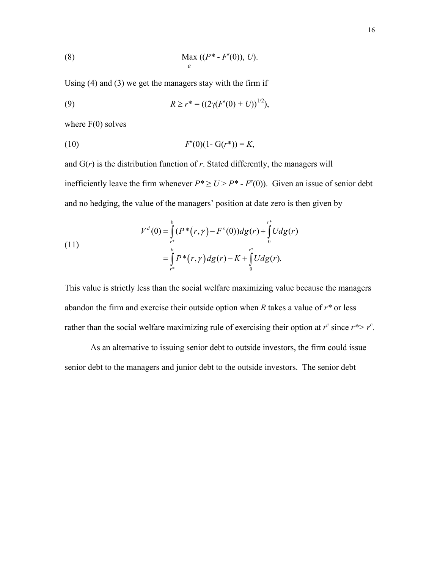(8) Max 
$$
\lim_{e} ((P^* - F^s(0)), U).
$$

Using (4) and (3) we get the managers stay with the firm if

(9) 
$$
R \ge r^* = ((2\gamma (F^s(0) + U))^{1/2}),
$$

where  $F(0)$  solves

(10) 
$$
F^{s}(0)(1 - G(r^{*})) = K,
$$

and  $G(r)$  is the distribution function of  $r$ . Stated differently, the managers will inefficiently leave the firm whenever  $P^* \ge U > P^*$  -  $F^s(0)$ ). Given an issue of senior debt and no hedging, the value of the managers' position at date zero is then given by

(11)  

$$
V^{d}(0) = \int_{r^{*}}^{b} (P^{*}(r, \gamma) - F^{s}(0)) dg(r) + \int_{0}^{r^{*}} Udg(r)
$$

$$
= \int_{r^{*}}^{b} P^{*}(r, \gamma) dg(r) - K + \int_{0}^{r^{*}} Udg(r).
$$

This value is strictly less than the social welfare maximizing value because the managers abandon the firm and exercise their outside option when *R* takes a value of *r\** or less rather than the social welfare maximizing rule of exercising their option at  $r^c$  since  $r^* > r^c$ .

 As an alternative to issuing senior debt to outside investors, the firm could issue senior debt to the managers and junior debt to the outside investors. The senior debt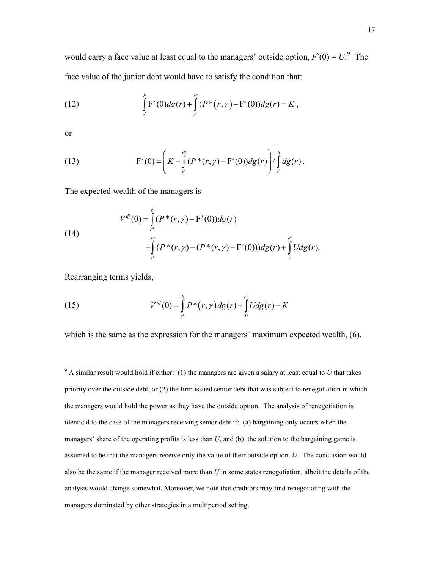would carry a face value at least equal to the managers' outside option,  $F<sup>s</sup>(0) = U<sup>9</sup>$  $F<sup>s</sup>(0) = U<sup>9</sup>$  $F<sup>s</sup>(0) = U<sup>9</sup>$ . The face value of the junior debt would have to satisfy the condition that:

(12) 
$$
\int_{r^*}^{b} F^j(0) dg(r) + \int_{r^c}^{r^*} (P^*(r,\gamma) - F^s(0)) dg(r) = K,
$$

or

(13) 
$$
F^{j}(0) = \left(K - \int_{r^{c}}^{r^{*}} (P^{*}(r, \gamma) - F^{s}(0))dg(r)\right) / \int_{r^{*}}^{b} dg(r).
$$

The expected wealth of the managers is

(14)  

$$
V^{dj}(0) = \int_{r^*}^{b} (P^*(r,\gamma) - F^j(0))dg(r)
$$

$$
+ \int_{r^*}^{r^*} (P^*(r,\gamma) - (P^*(r,\gamma) - F^s(0)))dg(r) + \int_{0}^{r^c} Udg(r).
$$

Rearranging terms yields,

(15) 
$$
V^{dj}(0) = \int_{r^c}^{b} P^*(r, \gamma) dg(r) + \int_{0}^{r^c} Udg(r) - K
$$

which is the same as the expression for the managers' maximum expected wealth, [\(6\).](#page-14-0)

<span id="page-17-0"></span><sup>&</sup>lt;sup>9</sup> A similar result would hold if either: (1) the managers are given a salary at least equal to *U* that takes priority over the outside debt, or (2) the firm issued senior debt that was subject to renegotiation in which the managers would hold the power as they have the outside option. The analysis of renegotiation is identical to the case of the managers receiving senior debt if: (a) bargaining only occurs when the managers' share of the operating profits is less than *U*, and (b) the solution to the bargaining game is assumed to be that the managers receive only the value of their outside option. *U*. The conclusion would also be the same if the manager received more than *U* in some states renegotiation, albeit the details of the analysis would change somewhat. Moreover, we note that creditors may find renegotiating with the managers dominated by other strategies in a multiperiod setting.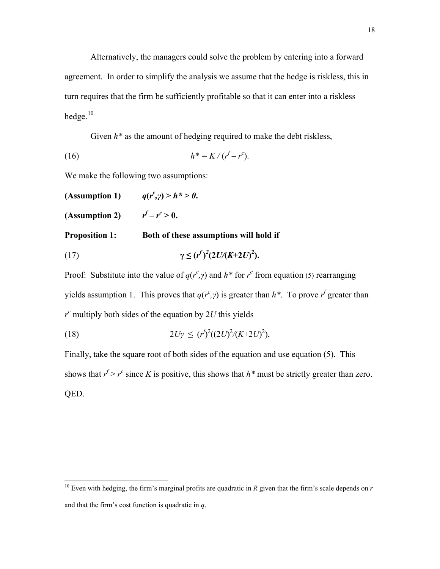Alternatively, the managers could solve the problem by entering into a forward agreement. In order to simplify the analysis we assume that the hedge is riskless, this in turn requires that the firm be sufficiently profitable so that it can enter into a riskless hedge. $10$ 

Given  $h^*$  as the amount of hedging required to make the debt riskless,

(16) 
$$
h^* = K / (r^f - r^c).
$$

We make the following two assumptions:

**(Assumption 1)** *q***(***r c ,γ***) >** *h\* > 0***.** 

**(Assumption 2)**  $f - r^c > 0.$ 

 $\overline{\phantom{a}}$ 

**Proposition 1: Both of these assumptions will hold if** 

(17) 
$$
\gamma \le (r^f)^2 (2U/(K+2U)^2).
$$

Proof: Substitute into the value of  $q(r^c, \gamma)$  and  $h^*$  for  $r^c$  from equation [\(5\)](#page-14-1) rearranging yields assumption 1. This proves that  $q(r^c, \gamma)$  is greater than  $h^*$ . To prove  $r^f$  greater than  $r^c$  multiply both sides of the equation by 2*U* this yields

(18) 
$$
2U\gamma \le (r^{\prime})^2((2U)^2/(K+2U)^2),
$$

Finally, take the square root of both sides of the equation and use equation [\(5\)](#page-14-1). This shows that  $r^f > r^c$  since *K* is positive, this shows that  $h^*$  must be strictly greater than zero. QED.

<span id="page-18-0"></span><sup>&</sup>lt;sup>10</sup> Even with hedging, the firm's marginal profits are quadratic in *R* given that the firm's scale depends on *r* and that the firm's cost function is quadratic in *q*.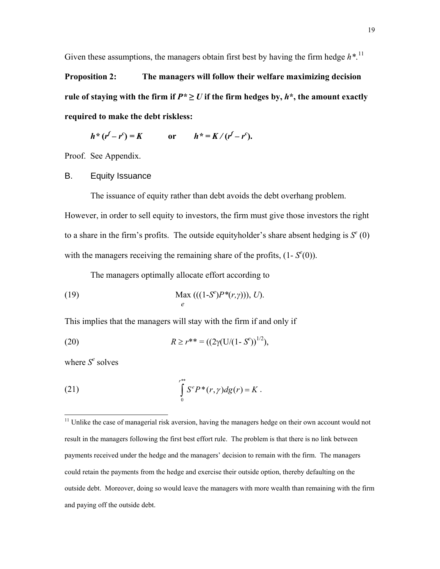Given these assumptions, the managers obtain first best by having the firm hedge  $h^*$ .<sup>[11](#page-19-0)</sup>

**Proposition 2: The managers will follow their welfare maximizing decision**  rule of staying with the firm if  $P^* \ge U$  if the firm hedges by,  $h^*$ , the amount exactly **required to make the debt riskless:** 

$$
h^*(r^f - r^c) = K
$$
 or  $h^* = K/(r^f - r^c)$ .

Proof. See Appendix.

#### B. Equity Issuance

The issuance of equity rather than debt avoids the debt overhang problem.

However, in order to sell equity to investors, the firm must give those investors the right to a share in the firm's profits. The outside equityholder's share absent hedging is  $S^e(0)$ with the managers receiving the remaining share of the profits,  $(1 - S<sup>e</sup>(0))$ .

The managers optimally allocate effort according to

(19) 
$$
\operatorname{Max} ((1-S^e)P^*(r,\gamma))), U).
$$

This implies that the managers will stay with the firm if and only if

(20) 
$$
R \ge r^{**} = ((2\gamma (U/(1-S^e))^{1/2}),
$$

where *Se* solves

 $\overline{\phantom{a}}$ 

<span id="page-19-1"></span>(21) 
$$
\int_{0}^{r^{**}} S^{e} P^{*}(r,\gamma) d g(r) = K.
$$

<span id="page-19-0"></span> $11$  Unlike the case of managerial risk aversion, having the managers hedge on their own account would not result in the managers following the first best effort rule. The problem is that there is no link between payments received under the hedge and the managers' decision to remain with the firm. The managers could retain the payments from the hedge and exercise their outside option, thereby defaulting on the outside debt. Moreover, doing so would leave the managers with more wealth than remaining with the firm and paying off the outside debt.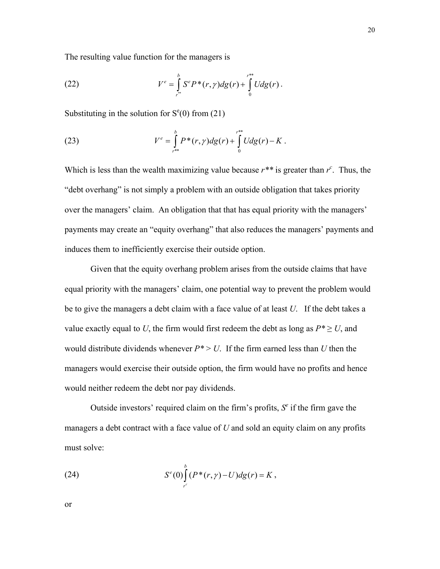The resulting value function for the managers is

(22) 
$$
V^{e} = \int_{r^{*}}^{b} S^{e} P^{*}(r, \gamma) d g(r) + \int_{0}^{r^{**}} U d g(r).
$$

Substituting in the solution for  $S^e(0)$  from [\(21\)](#page-19-1)

(23) 
$$
V^{e} = \int_{r^{**}}^{b} P^{*}(r,\gamma) dg(r) + \int_{0}^{r^{**}} Udg(r) - K.
$$

Which is less than the wealth maximizing value because  $r^{**}$  is greater than  $r^c$ . Thus, the "debt overhang" is not simply a problem with an outside obligation that takes priority over the managers' claim. An obligation that that has equal priority with the managers' payments may create an "equity overhang" that also reduces the managers' payments and induces them to inefficiently exercise their outside option.

 Given that the equity overhang problem arises from the outside claims that have equal priority with the managers' claim, one potential way to prevent the problem would be to give the managers a debt claim with a face value of at least *U*. If the debt takes a value exactly equal to *U*, the firm would first redeem the debt as long as  $P^* \ge U$ , and would distribute dividends whenever  $P^*$  > U. If the firm earned less than U then the managers would exercise their outside option, the firm would have no profits and hence would neither redeem the debt nor pay dividends.

Outside investors' required claim on the firm's profits,  $S^e$  if the firm gave the managers a debt contract with a face value of *U* and sold an equity claim on any profits must solve:

(24) 
$$
S^{e}(0)\int_{r^{e}}^{b} (P^{*}(r,\gamma)-U)dg(r)=K,
$$

or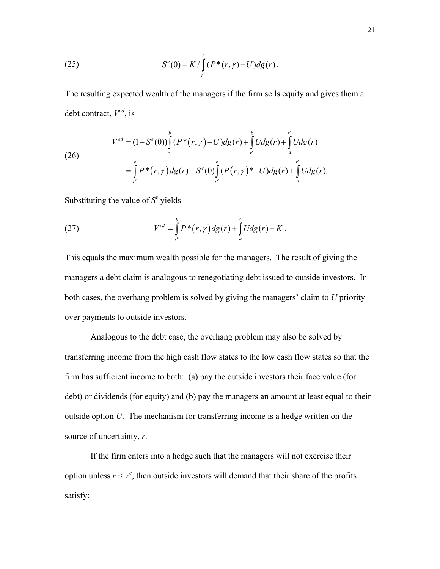(25) 
$$
S^{e}(0) = K / \int_{r^{e}}^{b} (P^{*}(r, \gamma) - U) dg(r).
$$

The resulting expected wealth of the managers if the firm sells equity and gives them a debt contract, *Ved*, is

(26)  

$$
V^{ed} = (1 - S^{e}(0)) \int_{r^{e}}^{b} (P^{*}(r, \gamma) - U) dg(r) + \int_{r^{e}}^{b} U dg(r) + \int_{a}^{r^{e}} U dg(r)
$$

$$
= \int_{r^{e}}^{b} P^{*}(r, \gamma) dg(r) - S^{e}(0) \int_{r^{e}}^{b} (P(r, \gamma)^{*} - U) dg(r) + \int_{a}^{r^{e}} U dg(r).
$$

Substituting the value of  $S<sup>e</sup>$  yields

(27) 
$$
V^{ed} = \int_{r^c}^{b} P^*(r, \gamma) dg(r) + \int_{a}^{r^c} Udg(r) - K.
$$

This equals the maximum wealth possible for the managers. The result of giving the managers a debt claim is analogous to renegotiating debt issued to outside investors. In both cases, the overhang problem is solved by giving the managers' claim to *U* priority over payments to outside investors.

 Analogous to the debt case, the overhang problem may also be solved by transferring income from the high cash flow states to the low cash flow states so that the firm has sufficient income to both: (a) pay the outside investors their face value (for debt) or dividends (for equity) and (b) pay the managers an amount at least equal to their outside option *U*. The mechanism for transferring income is a hedge written on the source of uncertainty, *r*.

 If the firm enters into a hedge such that the managers will not exercise their option unless  $r < r^c$ , then outside investors will demand that their share of the profits satisfy: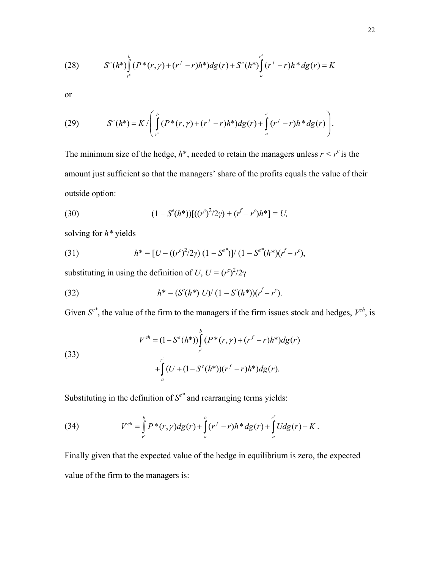(28) 
$$
S^{e}(h^{*}) \int_{r^{e}}^{b} (P^{*}(r,\gamma) + (r^{f} - r)h^{*}) dg(r) + S^{e}(h^{*}) \int_{a}^{r^{e}} (r^{f} - r)h^{*} dg(r) = K
$$

or

(29) 
$$
S^{e}(h^{*}) = K / \left( \int_{r^{c}}^{b} (P^{*}(r,\gamma) + (r^{f} - r)h^{*}) dg(r) + \int_{a}^{r^{c}} (r^{f} - r)h^{*} dg(r) \right).
$$

The minimum size of the hedge,  $h^*$ , needed to retain the managers unless  $r < r^c$  is the amount just sufficient so that the managers' share of the profits equals the value of their outside option:

(30) 
$$
(1 - S^{e}(h^{*}))[((r^{c})^{2}/2\gamma) + (r^{f} - r^{c})h^{*}] = U,
$$

solving for *h\** yields

(31) 
$$
h^* = [U - ((r^c)^2/2\gamma) (1 - S^{e^*})]/(1 - S^{e^*}(h^*)(r^f - r^c),
$$

substituting in using the definition of *U*,  $U = (r^c)^2/2\gamma$ 

(32) 
$$
h^* = (S^e(h^*) U) / (1 - S^e(h^*)) (r^f - r^c).
$$

Given  $S^{e^*}$ , the value of the firm to the managers if the firm issues stock and hedges,  $V^{eh}$ , is

(33)  

$$
V^{eh} = (1 - S^{e} (h^{*})) \int_{r^{e}}^{b} (P^{*}(r, \gamma) + (r^{f} - r)h^{*}) dg(r)
$$

$$
+ \int_{a}^{r^{e}} (U + (1 - S^{e} (h^{*})) (r^{f} - r)h^{*}) dg(r).
$$

Substituting in the definition of *Se\** and rearranging terms yields:

(34) 
$$
V^{eh} = \int_{r^c}^{b} P^*(r,\gamma) dg(r) + \int_{a}^{b} (r^f - r)h^* dg(r) + \int_{a}^{r^c} Udg(r) - K.
$$

Finally given that the expected value of the hedge in equilibrium is zero, the expected value of the firm to the managers is: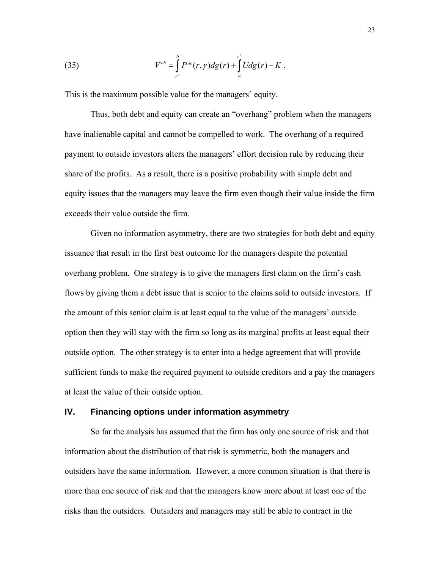(35) 
$$
V^{eh} = \int_{r^c}^{b} P^*(r, \gamma) dg(r) + \int_{a}^{r^c} Udg(r) - K.
$$

This is the maximum possible value for the managers' equity.

Thus, both debt and equity can create an "overhang" problem when the managers have inalienable capital and cannot be compelled to work. The overhang of a required share of the profits. As a result, there is a positive probability with simple debt and payment to outside investors alters the managers' effort decision rule by reducing their equity issues that the managers may leave the firm even though their value inside the firm exceeds their value outside the firm.

Given no information asymmetry, there are two strategies for both debt and equity outside option. The other strategy is to enter into a hedge agreement that will provide sufficient funds to make the required payment to outside creditors and a pay the managers at least the value of their outside option. issuance that result in the first best outcome for the managers despite the potential overhang problem. One strategy is to give the managers first claim on the firm's cash flows by giving them a debt issue that is senior to the claims sold to outside investors. If the amount of this senior claim is at least equal to the value of the managers' outside option then they will stay with the firm so long as its marginal profits at least equal their

# **IV. Financing options under information asymmetry**

outsiders have the same information. However, a more common situation is that there is risks than the outsiders. Outsiders and managers may still be able to contract in the So far the analysis has assumed that the firm has only one source of risk and that information about the distribution of that risk is symmetric, both the managers and more than one source of risk and that the managers know more about at least one of the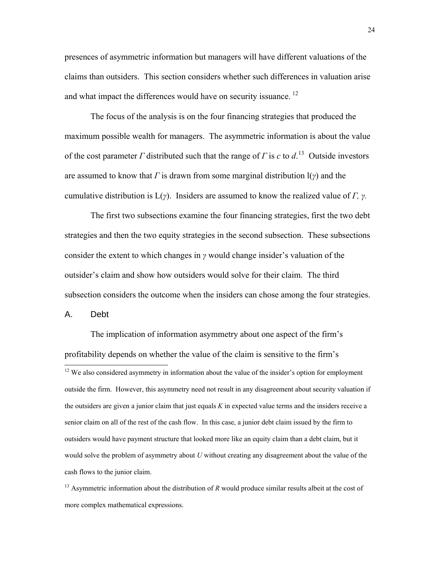presences of asymmetric information but managers will have different valuations of the claims than outsiders. This section considers whether such differences in valuation arise and what impact the differences would have on security issuance.  $12$ 

of the cost parameter *Γ* distributed such that the range of *Γ* is *c* to  $d$ .<sup>[13](#page-24-0)</sup> Outside investors cumulative distribution is  $L(y)$ . Insiders are assumed to know the realized value of *Γ, γ.*  The focus of the analysis is on the four financing strategies that produced the maximum possible wealth for managers. The asymmetric information is about the value are assumed to know that *Γ* is drawn from some marginal distribution l(*γ*) and the

strategies and then the two equity strategies in the second subsection. These subsections subsection considers the outcome when the insiders can chose among the four strategies. The first two subsections examine the four financing strategies, first the two debt consider the extent to which changes in *γ* would change insider's valuation of the outsider's claim and show how outsiders would solve for their claim. The third

A. Debt

 $\overline{\phantom{a}}$  The implication of information asymmetry about one aspect of the firm's profitability depends on whether the value of the claim is sensitive to the firm's  $12$  We also considered asymmetry in information about the value of the insider's option for employment outside the firm. However, this asymmetry need not result in any disagreement about security valuation if the outsiders are given a junior claim that just equals *K* in expected value terms and the insiders receive a senior claim on all of the rest of the cash flow. In this case, a junior debt claim issued by the firm to outsiders would have payment structure that looked more like an equity claim than a debt claim, but it would solve the problem of asymmetry about *U* without creating any disagreement about the value of the cash flows to the junior claim.

<span id="page-24-0"></span><sup>13</sup> Asymmetric information about the distribution of *R* would produce similar results albeit at the cost of more complex mathematical expressions.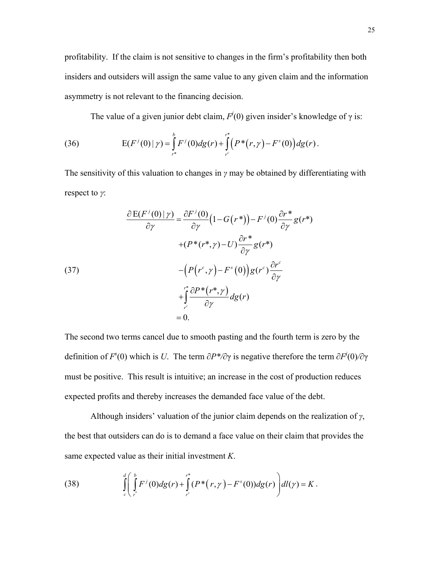profitability. If the claim is not sensitive to changes in the firm's profitability then both insiders and outsiders will assign the same value to any given claim and the information asymmetry is not relevant to the financing decision.

The value of a given junior debt claim,  $F(0)$  given insider's knowledge of  $\gamma$  is:

(36) 
$$
E(F^j(0)|\gamma) = \int_{r^*}^b F^j(0)dg(r) + \int_{r^c}^{r^*} (P^*(r,\gamma) - F^s(0))dg(r).
$$

The sensitivity of this valuation to changes in  $\gamma$  may be obtained by differentiating with respect to *γ*:

(37)  
\n
$$
\frac{\partial E(F^j(0)|\gamma)}{\partial \gamma} = \frac{\partial F^j(0)}{\partial \gamma} (1 - G(r^*)) - F^j(0) \frac{\partial r^*}{\partial \gamma} g(r^*)
$$
\n
$$
+ (P^*(r^*, \gamma) - U) \frac{\partial r^*}{\partial \gamma} g(r^*)
$$
\n
$$
- (P(r^c, \gamma) - F^s(0)) g(r^c) \frac{\partial r^c}{\partial \gamma}
$$
\n
$$
+ \int_{r^c}^r \frac{\partial P^*(r^*, \gamma)}{\partial \gamma} dg(r)
$$
\n
$$
= 0.
$$

must be positive. This result is intuitive; an increase in the cost of production reduces The second two terms cancel due to smooth pasting and the fourth term is zero by the definition of *F<sup>s</sup>*(0) which is *U*. The term ∂*P\*/∂γ* is negative therefore the term ∂*F<sup>j</sup>*(0)/∂γ expected profits and thereby increases the demanded face value of the debt.

the best that outsiders can do is to demand a face value on their claim that provides the same expected value as their initial investment *K*. Although insiders' valuation of the junior claim depends on the realization of *γ*,

(38) 
$$
\int_{c}^{d} \left( \int_{r^{*}}^{b} F^{j}(0) dg(r) + \int_{r^{c}}^{r^{*}} (P^{*}(r, \gamma) - F^{s}(0)) dg(r) \right) dl(\gamma) = K.
$$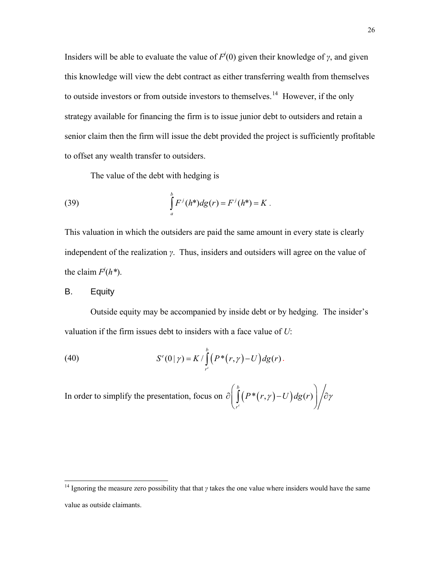Insiders will be able to evaluate the value of  $F(0)$  given their knowledge of  $\gamma$ , and given this knowledge will view the debt contract as either transferring wealth from themselves to outside investors or from outside investors to themselves.<sup>[14](#page-26-0)</sup> However, if the only strategy available for financing the firm is to issue junior debt to outsiders and retain a senior claim then the firm will issue the debt provided the project is sufficiently profitable to offset any wealth transfer to outsiders.

The value of the debt with hedging is

(39) 
$$
\int_{a}^{b} F^{j}(h^{*})dg(r) = F^{j}(h^{*}) = K.
$$

This valuation in which the outsiders are paid the same amount in every state is clearly independent of the realization *γ*. Thus, insiders and outsiders will agree on the value of the claim  $F^j(h^*)$ .

# B. Equity

 $\overline{\phantom{a}}$ 

 Outside equity may be accompanied by inside debt or by hedging. The insider's valuation if the firm issues debt to insiders with a face value of *U*:

<span id="page-26-1"></span>(40) 
$$
S^{e}(0|\gamma) = K / \int_{r^{c}}^{b} (P^{*}(r,\gamma) - U) dg(r).
$$

In order to simplify the presentation, focus on  $\partial | \int (P^*(r, \gamma) - U) dg(r)$ *c b r*  $P^*(r,\gamma) - U$ ) dg(r) |  $\partial \gamma$  $\begin{pmatrix} b & b \\ c & c \end{pmatrix}$  $\partial \left( \int\limits_{r^c} \Bigl( P^*(r,\gamma) \! - \! U \Bigr) d\!g(r) \, \Bigl) \!\! \Big/ \! \partial$ 

<span id="page-26-0"></span><sup>&</sup>lt;sup>14</sup> Ignoring the measure zero possibility that that  $\gamma$  takes the one value where insiders would have the same value as outside claimants.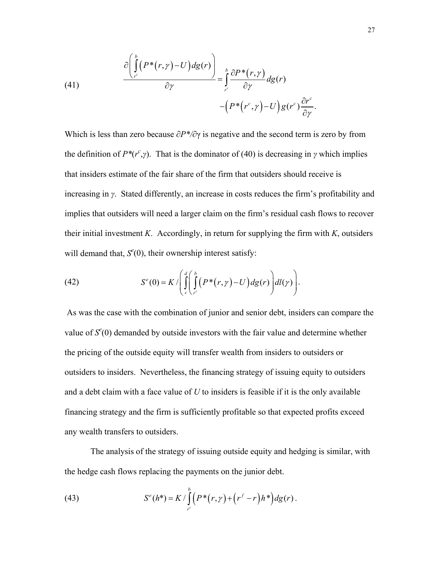<span id="page-27-1"></span>(41)  

$$
\frac{\partial \left(\int_{r^c}^{b} (P^*(r,\gamma)-U) dg(r)\right)}{\partial \gamma} = \int_{r^c}^{b} \frac{\partial P^*(r,\gamma)}{\partial \gamma} dg(r)
$$

$$
-\left(P^*(r^c,\gamma)-U\right)g(r^c)\frac{\partial r^c}{\partial \gamma}.
$$

Which is less than zero because ∂*P\*/*∂γ is negative and the second term is zero by from the definition of  $P^*(r^c, \gamma)$ . That is the dominator of [\(40\)](#page-26-1) is decreasing in *γ* which implies that insiders estimate of the fair share of the firm that outsiders should receive is increasing in *γ*. Stated differently, an increase in costs reduces the firm's profitability and implies that outsiders will need a larger claim on the firm's residual cash flows to recover their initial investment  $K$ . Accordingly, in return for supplying the firm with  $K$ , outsiders will demand that,  $S<sup>e</sup>(0)$ , their ownership interest satisfy:

<span id="page-27-2"></span>(42) 
$$
S^{e}(0) = K / \left( \int_{c}^{d} \left( \int_{r^{e}}^{b} \left( P^{*}(r, \gamma) - U \right) d g(r) \right) dl(\gamma) \right).
$$

 As was the case with the combination of junior and senior debt, insiders can compare the value of  $S^e(0)$  demanded by outside investors with the fair value and determine whether the pricing of the outside equity will transfer wealth from insiders to outsiders or outsiders to insiders. Nevertheless, the financing strategy of issuing equity to outsiders and a debt claim with a face value of *U* to insiders is feasible if it is the only available financing strategy and the firm is sufficiently profitable so that expected profits exceed any wealth transfers to outsiders.

 The analysis of the strategy of issuing outside equity and hedging is similar, with the hedge cash flows replacing the payments on the junior debt.

<span id="page-27-0"></span>(43) 
$$
S^{e}(h^{*}) = K / \int_{r^{e}}^{b} (P^{*}(r,\gamma) + (r^{f} - r)h^{*}) dg(r).
$$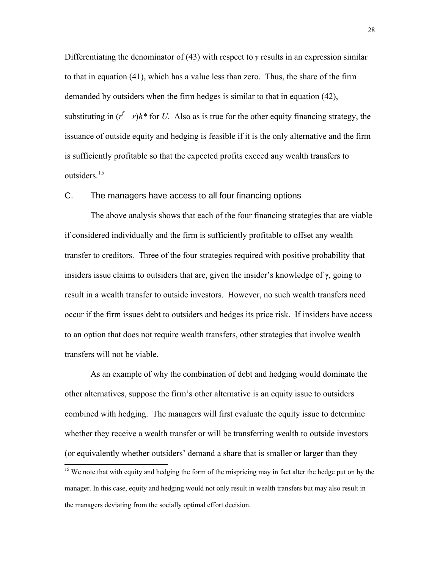Differentiating the denominator of [\(43\)](#page-27-0) with respect to *γ* results in an expression similar to that in equation [\(41\),](#page-27-1) which has a value less than zero. Thus, the share of the firm demanded by outsiders when the firm hedges is similar to that in equation [\(42\),](#page-27-2) substituting in  $(r^f - r)h^*$  for *U*. Also as is true for the other equity financing strategy, the issuance of outside equity and hedging is feasible if it is the only alternative and the firm is sufficiently profitable so that the expected profits exceed any wealth transfers to outsiders.<sup>[15](#page-28-0)</sup>

# C. The managers have access to all four financing options

 The above analysis shows that each of the four financing strategies that are viable if considered individually and the firm is sufficiently profitable to offset any wealth transfer to creditors. Three of the four strategies required with positive probability that insiders issue claims to outsiders that are, given the insider's knowledge of γ, going to result in a wealth transfer to outside investors. However, no such wealth transfers need occur if the firm issues debt to outsiders and hedges its price risk. If insiders have access to an option that does not require wealth transfers, other strategies that involve wealth transfers will not be viable.

 As an example of why the combination of debt and hedging would dominate the other alternatives, suppose the firm's other alternative is an equity issue to outsiders combined with hedging. The managers will first evaluate the equity issue to determine whether they receive a wealth transfer or will be transferring wealth to outside investors (or equivalently whether outsiders' demand a share that is smaller or larger than they l

<span id="page-28-0"></span><sup>&</sup>lt;sup>15</sup> We note that with equity and hedging the form of the mispricing may in fact alter the hedge put on by the manager. In this case, equity and hedging would not only result in wealth transfers but may also result in the managers deviating from the socially optimal effort decision.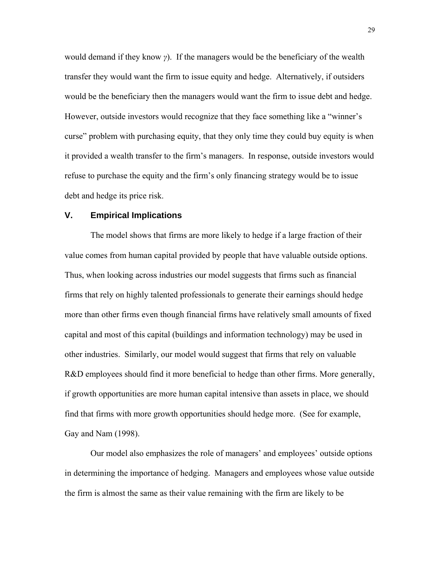would demand if they know  $\gamma$ ). If the managers would be the beneficiary of the wealth transfer they would want the firm to issue equity and hedge. Alternatively, if outsiders would be the beneficiary then the managers would want the firm to issue debt and hedge. However, outside investors would recognize that they face something like a "winner's curse" problem with purchasing equity, that they only time they could buy equity is when it provided a wealth transfer to the firm's managers. In response, outside investors would refuse to purchase the equity and the firm's only financing strategy would be to issue debt and hedge its price risk.

## **V. Empirical Implications**

The model shows that firms are more likely to hedge if a large fraction of their value comes from human capital provided by people that have valuable outside options. Thus, when looking across industries our model suggests that firms such as financial firms that rely on highly talented professionals to generate their earnings should hedge more than other firms even though financial firms have relatively small amounts of fixed capital and most of this capital (buildings and information technology) may be used in other industries. Similarly, our model would suggest that firms that rely on valuable R&D employees should find it more beneficial to hedge than other firms. More generally, if growth opportunities are more human capital intensive than assets in place, we should find that firms with more growth opportunities should hedge more. (See for example, Gay and Nam (1998).

Our model also emphasizes the role of managers' and employees' outside options in determining the importance of hedging. Managers and employees whose value outside the firm is almost the same as their value remaining with the firm are likely to be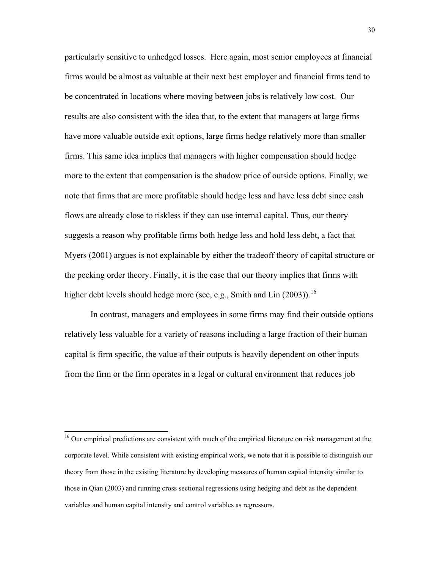particularly sensitive to unhedged losses. Here again, most senior employees at financial firms would be almost as valuable at their next best employer and financial firms tend to be concentrated in locations where moving between jobs is relatively low cost. Our results are also consistent with the idea that, to the extent that managers at large firms have more valuable outside exit options, large firms hedge relatively more than smaller firms. This same idea implies that managers with higher compensation should hedge more to the extent that compensation is the shadow price of outside options. Finally, we note that firms that are more profitable should hedge less and have less debt since cash flows are already close to riskless if they can use internal capital. Thus, our theory suggests a reason why profitable firms both hedge less and hold less debt, a fact that Myers (2001) argues is not explainable by either the tradeoff theory of capital structure or the pecking order theory. Finally, it is the case that our theory implies that firms with higher debt levels should hedge more (see, e.g., Smith and Lin  $(2003)$ ).<sup>[16](#page-30-0)</sup>

In contrast, managers and employees in some firms may find their outside options relatively less valuable for a variety of reasons including a large fraction of their human capital is firm specific, the value of their outputs is heavily dependent on other inputs from the firm or the firm operates in a legal or cultural environment that reduces job

 $\overline{\phantom{a}}$ 

<span id="page-30-0"></span><sup>&</sup>lt;sup>16</sup> Our empirical predictions are consistent with much of the empirical literature on risk management at the corporate level. While consistent with existing empirical work, we note that it is possible to distinguish our theory from those in the existing literature by developing measures of human capital intensity similar to those in Qian (2003) and running cross sectional regressions using hedging and debt as the dependent variables and human capital intensity and control variables as regressors.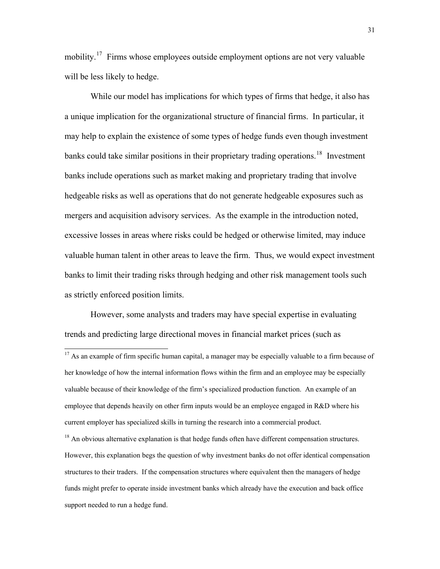mobility.<sup>[17](#page-31-0)</sup> Firms whose employees outside employment options are not very valuable will be less likely to hedge.

While our model has implications for which types of firms that hedge, it also has a unique implication for the organizational structure of financial firms. In particular, it may help to explain the existence of some types of hedge funds even though investment banks could take similar positions in their proprietary trading operations.<sup>18</sup> Investment banks include operations such as market making and proprietary trading that involve hedgeable risks as well as operations that do not generate hedgeable exposures such as mergers and acquisition advisory services. As the example in the introduction noted, excessive losses in areas where risks could be hedged or otherwise limited, may induce valuable human talent in other areas to leave the firm. Thus, we would expect investment banks to limit their trading risks through hedging and other risk management tools such as strictly enforced position limits.

However, some analysts and traders may have special expertise in evaluating trends and predicting large directional moves in financial market prices (such as

 $\overline{\phantom{a}}$ 

<span id="page-31-1"></span><sup>18</sup> An obvious alternative explanation is that hedge funds often have different compensation structures. However, this explanation begs the question of why investment banks do not offer identical compensation structures to their traders. If the compensation structures where equivalent then the managers of hedge funds might prefer to operate inside investment banks which already have the execution and back office support needed to run a hedge fund.

<span id="page-31-0"></span> $17$  As an example of firm specific human capital, a manager may be especially valuable to a firm because of her knowledge of how the internal information flows within the firm and an employee may be especially valuable because of their knowledge of the firm's specialized production function. An example of an employee that depends heavily on other firm inputs would be an employee engaged in R&D where his current employer has specialized skills in turning the research into a commercial product.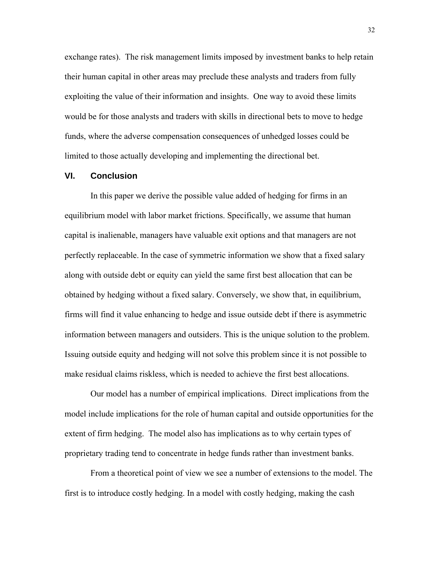exchange rates). The risk management limits imposed by investment banks to help retain their human capital in other areas may preclude these analysts and traders from fully exploiting the value of their information and insights. One way to avoid these limits would be for those analysts and traders with skills in directional bets to move to hedge funds, where the adverse compensation consequences of unhedged losses could be limited to those actually developing and implementing the directional bet.

### **VI. Conclusion**

 In this paper we derive the possible value added of hedging for firms in an equilibrium model with labor market frictions. Specifically, we assume that human capital is inalienable, managers have valuable exit options and that managers are not perfectly replaceable. In the case of symmetric information we show that a fixed salary along with outside debt or equity can yield the same first best allocation that can be obtained by hedging without a fixed salary. Conversely, we show that, in equilibrium, firms will find it value enhancing to hedge and issue outside debt if there is asymmetric information between managers and outsiders. This is the unique solution to the problem. Issuing outside equity and hedging will not solve this problem since it is not possible to make residual claims riskless, which is needed to achieve the first best allocations.

 Our model has a number of empirical implications. Direct implications from the model include implications for the role of human capital and outside opportunities for the extent of firm hedging. The model also has implications as to why certain types of proprietary trading tend to concentrate in hedge funds rather than investment banks.

From a theoretical point of view we see a number of extensions to the model. The first is to introduce costly hedging. In a model with costly hedging, making the cash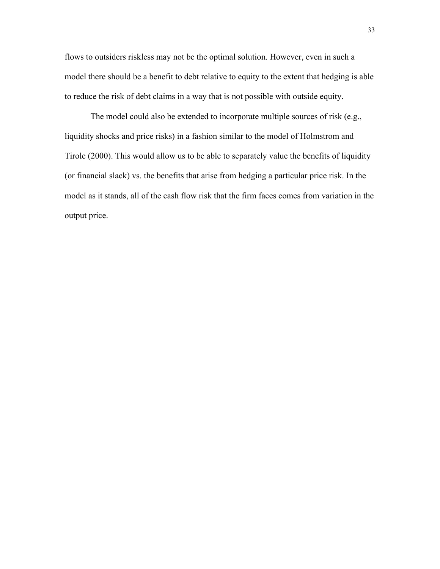flows to outsiders riskless may not be the optimal solution. However, even in such a model there should be a benefit to debt relative to equity to the extent that hedging is able to reduce the risk of debt claims in a way that is not possible with outside equity.

 The model could also be extended to incorporate multiple sources of risk (e.g., liquidity shocks and price risks) in a fashion similar to the model of Holmstrom and Tirole (2000). This would allow us to be able to separately value the benefits of liquidity (or financial slack) vs. the benefits that arise from hedging a particular price risk. In the model as it stands, all of the cash flow risk that the firm faces comes from variation in the output price.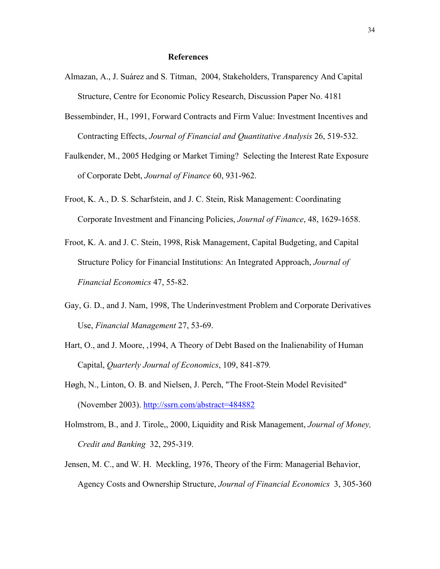#### **References**

- Almazan, A., J. Suárez and S. Titman, 2004, Stakeholders, Transparency And Capital Structure, Centre for Economic Policy Research, Discussion Paper No. 4181
- Bessembinder, H., 1991, Forward Contracts and Firm Value: Investment Incentives and Contracting Effects, *Journal of Financial and Quantitative Analysis* 26, 519-532.
- Faulkender, M., 2005 Hedging or Market Timing? Selecting the Interest Rate Exposure of Corporate Debt, *Journal of Finance* 60, 931-962.
- Froot, K. A., D. S. Scharfstein, and J. C. Stein, Risk Management: Coordinating Corporate Investment and Financing Policies, *Journal of Finance*, 48, 1629-1658.
- Froot, K. A. and J. C. Stein, 1998, Risk Management, Capital Budgeting, and Capital Structure Policy for Financial Institutions: An Integrated Approach, *Journal of Financial Economics* 47, 55-82.
- Gay, G. D., and J. Nam, 1998, The Underinvestment Problem and Corporate Derivatives Use, *Financial Management* 27, 53-69.
- Hart, O., and J. Moore, ,1994, A Theory of Debt Based on the Inalienability of Human Capital, *Quarterly Journal of Economics*, 109, 841-879*.*
- Høgh, N., Linton, O. B. and Nielsen, J. Perch, "The Froot-Stein Model Revisited" (November 2003). <http://ssrn.com/abstract=484882>
- Holmstrom, B., and J. Tirole,, 2000, Liquidity and Risk Management, *Journal of Money, Credit and Banking* 32, 295-319.
- Jensen, M. C., and W. H. Meckling, 1976, Theory of the Firm: Managerial Behavior, Agency Costs and Ownership Structure, *Journal of Financial Economics* 3, 305-360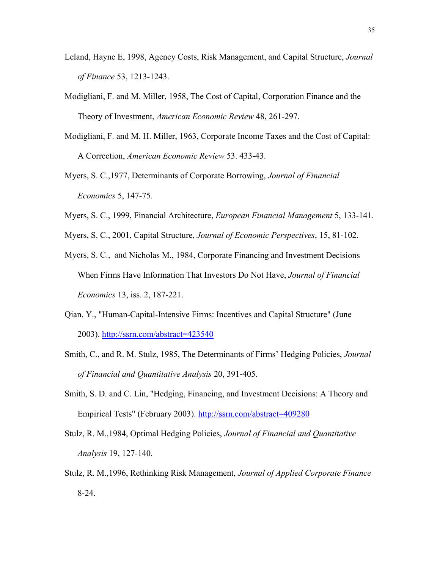- Leland, Hayne E, 1998, Agency Costs, Risk Management, and Capital Structure, *Journal of Finance* 53, 1213-1243.
- Modigliani, F. and M. Miller, 1958, The Cost of Capital, Corporation Finance and the Theory of Investment, *American Economic Review* 48, 261-297.
- Modigliani, F. and M. H. Miller, 1963, Corporate Income Taxes and the Cost of Capital: A Correction, *American Economic Review* 53. 433-43.
- Myers, S. C.,1977, Determinants of Corporate Borrowing, *Journal of Financial Economics* 5, 147-75*.*
- Myers, S. C., 1999, Financial Architecture, *European Financial Management* 5, 133-141.
- Myers, S. C., 2001, Capital Structure, *Journal of Economic Perspectives*, 15, 81-102.
- Myers, S. C., and Nicholas M., 1984, Corporate Financing and Investment Decisions When Firms Have Information That Investors Do Not Have, *Journal of Financial Economics* 13, iss. 2, 187-221.
- Qian, Y., "Human-Capital-Intensive Firms: Incentives and Capital Structure" (June 2003).<http://ssrn.com/abstract=423540>
- Smith, C., and R. M. Stulz, 1985, The Determinants of Firms' Hedging Policies, *Journal of Financial and Quantitative Analysis* 20, 391-405.
- Smith, S. D. and C. Lin, "Hedging, Financing, and Investment Decisions: A Theory and Empirical Tests" (February 2003). <http://ssrn.com/abstract=409280>
- Stulz, R. M.,1984, Optimal Hedging Policies, *Journal of Financial and Quantitative Analysis* 19, 127-140.
- Stulz, R. M.,1996, Rethinking Risk Management, *Journal of Applied Corporate Finance* 8-24.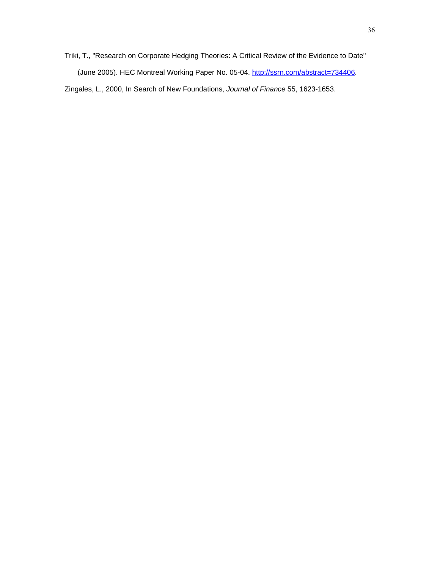Triki, T., "Research on Corporate Hedging Theories: A Critical Review of the Evidence to Date" (June 2005). HEC Montreal Working Paper No. 05-04. <http://ssrn.com/abstract=734406>.

Zingales, L., 2000, In Search of New Foundations, *Journal of Finance* 55, 1623-1653.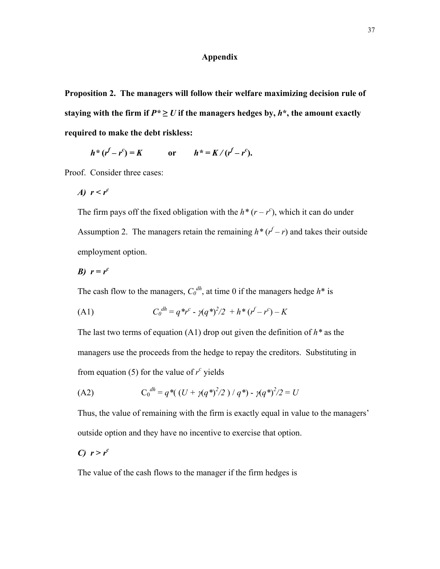## **Appendix**

**Proposition 2. The managers will follow their welfare maximizing decision rule of**  staying with the firm if  $P^* \ge U$  if the managers hedges by,  $h^*$ , the amount exactly **required to make the debt riskless:** 

$$
h^*(r^f - r^c) = K
$$
 or  $h^* = K/(r^f - r^c)$ .

Proof. Consider three cases:

*A)*  $r < r^c$ 

The firm pays off the fixed obligation with the  $h^*(r - r^c)$ , which it can do under Assumption 2. The managers retain the remaining  $h^*(r^f - r)$  and takes their outside employment option.

$$
B) r = r^c
$$

The cash flow to the managers,  $C_0^{dh}$ , at time 0 if the managers hedge  $h^*$  is

(A1) 
$$
C_0^{dh} = q^*r^c \cdot \gamma(q^*)^2/2 + h^*(r^f - r^c) - K
$$

The last two terms of equation (A1) drop out given the definition of *h\** as the managers use the proceeds from the hedge to repay the creditors. Substituting in from equation [\(5\)](#page-14-1) for the value of  $r^c$  yields

(A2) 
$$
C_0^{dh} = q^*((U + \gamma(q^*)^2/2) / q^*) - \gamma(q^*)^2/2 = U
$$

Thus, the value of remaining with the firm is exactly equal in value to the managers' outside option and they have no incentive to exercise that option.

*C)*  $r > r^c$ 

The value of the cash flows to the manager if the firm hedges is